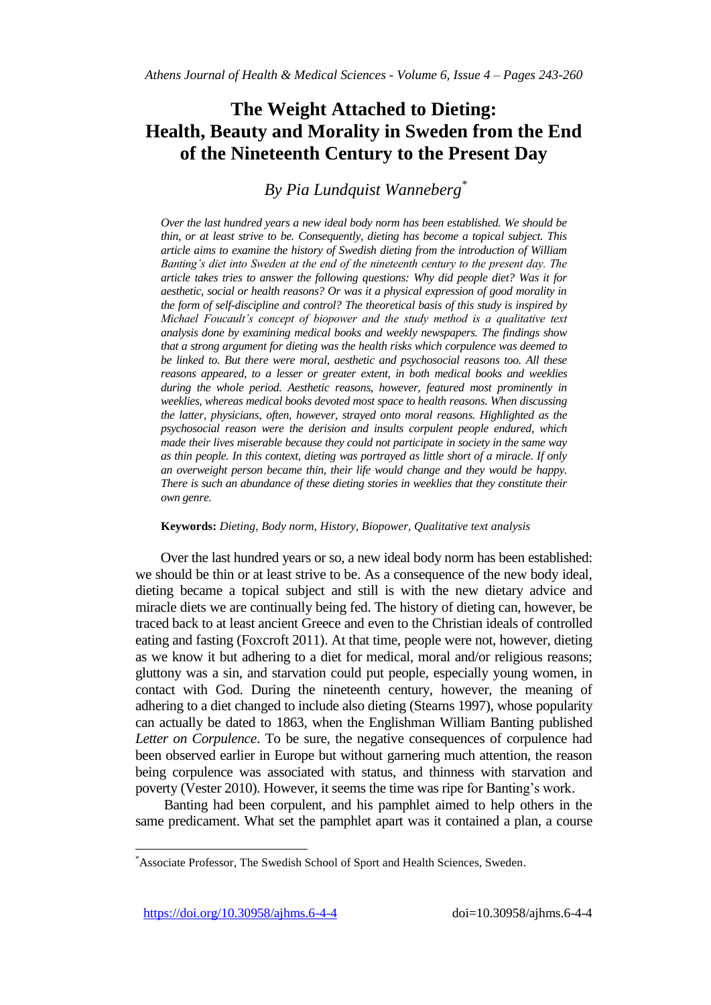# **The Weight Attached to Dieting: Health, Beauty and Morality in Sweden from the End of the Nineteenth Century to the Present Day**

# *By Pia Lundquist Wanneberg\**

*Over the last hundred years a new ideal body norm has been established. We should be thin, or at least strive to be. Consequently, dieting has become a topical subject. This article aims to examine the history of Swedish dieting from the introduction of William Banting's diet into Sweden at the end of the nineteenth century to the present day. The article takes tries to answer the following questions: Why did people diet? Was it for aesthetic, social or health reasons? Or was it a physical expression of good morality in the form of self-discipline and control? The theoretical basis of this study is inspired by Michael Foucault's concept of biopower and the study method is a qualitative text analysis done by examining medical books and weekly newspapers. The findings show that a strong argument for dieting was the health risks which corpulence was deemed to be linked to. But there were moral, aesthetic and psychosocial reasons too. All these reasons appeared, to a lesser or greater extent, in both medical books and weeklies during the whole period. Aesthetic reasons, however, featured most prominently in weeklies, whereas medical books devoted most space to health reasons. When discussing the latter, physicians, often, however, strayed onto moral reasons. Highlighted as the psychosocial reason were the derision and insults corpulent people endured, which made their lives miserable because they could not participate in society in the same way as thin people. In this context, dieting was portrayed as little short of a miracle. If only an overweight person became thin, their life would change and they would be happy. There is such an abundance of these dieting stories in weeklies that they constitute their own genre.*

#### **Keywords:** *Dieting, Body norm, History, Biopower, Qualitative text analysis*

Over the last hundred years or so, a new ideal body norm has been established: we should be thin or at least strive to be. As a consequence of the new body ideal, dieting became a topical subject and still is with the new dietary advice and miracle diets we are continually being fed. The history of dieting can, however, be traced back to at least ancient Greece and even to the Christian ideals of controlled eating and fasting (Foxcroft 2011). At that time, people were not, however, dieting as we know it but adhering to a diet for medical, moral and/or religious reasons; gluttony was a sin, and starvation could put people, especially young women, in contact with God. During the nineteenth century, however, the meaning of adhering to a diet changed to include also dieting (Stearns 1997), whose popularity can actually be dated to 1863, when the Englishman William Banting published *Letter on Corpulence*. To be sure, the negative consequences of corpulence had been observed earlier in Europe but without garnering much attention, the reason being corpulence was associated with status, and thinness with starvation and poverty (Vester 2010). However, it seems the time was ripe for Banting's work.

Banting had been corpulent, and his pamphlet aimed to help others in the same predicament. What set the pamphlet apart was it contained a plan, a course

 $\overline{a}$ 

<sup>\*</sup>Associate Professor, The Swedish School of Sport and Health Sciences, Sweden.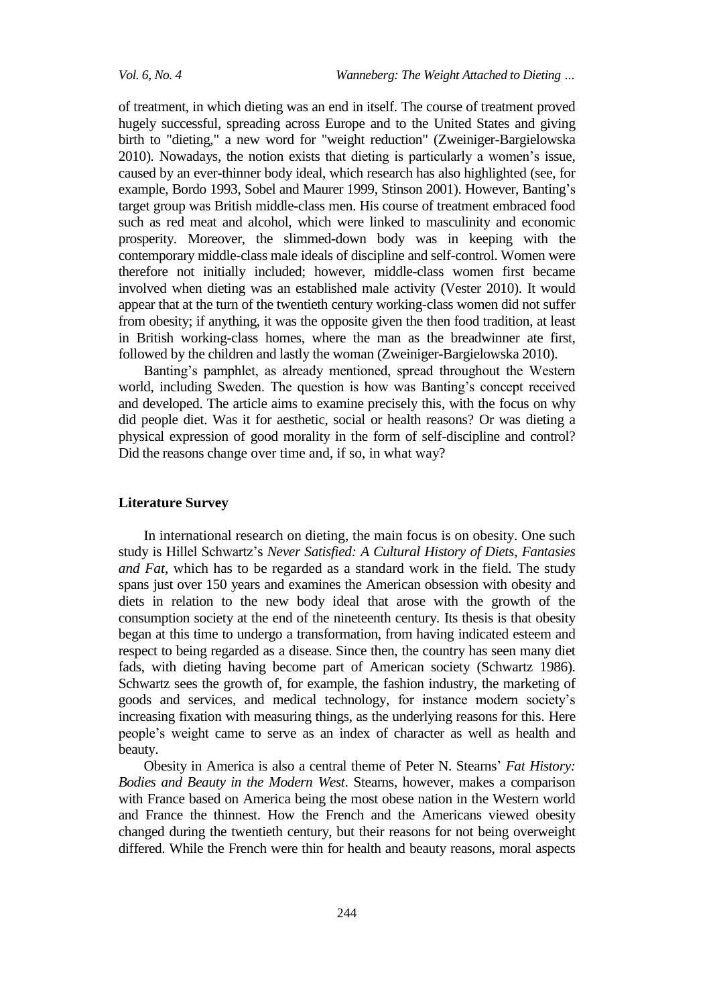of treatment, in which dieting was an end in itself. The course of treatment proved hugely successful, spreading across Europe and to the United States and giving birth to "dieting," a new word for "weight reduction" (Zweiniger-Bargielowska 2010). Nowadays, the notion exists that dieting is particularly a women's issue, caused by an ever-thinner body ideal, which research has also highlighted (see, for example, Bordo 1993, Sobel and Maurer 1999, Stinson 2001). However, Banting's target group was British middle-class men. His course of treatment embraced food such as red meat and alcohol, which were linked to masculinity and economic prosperity. Moreover, the slimmed-down body was in keeping with the contemporary middle-class male ideals of discipline and self-control. Women were therefore not initially included; however, middle-class women first became involved when dieting was an established male activity (Vester 2010). It would appear that at the turn of the twentieth century working-class women did not suffer from obesity; if anything, it was the opposite given the then food tradition, at least in British working-class homes, where the man as the breadwinner ate first, followed by the children and lastly the woman (Zweiniger-Bargielowska 2010).

Banting's pamphlet, as already mentioned, spread throughout the Western world, including Sweden. The question is how was Banting's concept received and developed. The article aims to examine precisely this, with the focus on why did people diet. Was it for aesthetic, social or health reasons? Or was dieting a physical expression of good morality in the form of self-discipline and control? Did the reasons change over time and, if so, in what way?

# **Literature Survey**

In international research on dieting, the main focus is on obesity. One such study is Hillel Schwartz's *Never Satisfied: A Cultural History of Diets*, *Fantasies and Fat*, which has to be regarded as a standard work in the field*.* The study spans just over 150 years and examines the American obsession with obesity and diets in relation to the new body ideal that arose with the growth of the consumption society at the end of the nineteenth century. Its thesis is that obesity began at this time to undergo a transformation, from having indicated esteem and respect to being regarded as a disease. Since then, the country has seen many diet fads, with dieting having become part of American society (Schwartz 1986). Schwartz sees the growth of, for example, the fashion industry, the marketing of goods and services, and medical technology, for instance modern society's increasing fixation with measuring things, as the underlying reasons for this. Here people's weight came to serve as an index of character as well as health and beauty.

Obesity in America is also a central theme of Peter N. Stearns' *Fat History: Bodies and Beauty in the Modern West*. Stearns, however, makes a comparison with France based on America being the most obese nation in the Western world and France the thinnest. How the French and the Americans viewed obesity changed during the twentieth century, but their reasons for not being overweight differed. While the French were thin for health and beauty reasons, moral aspects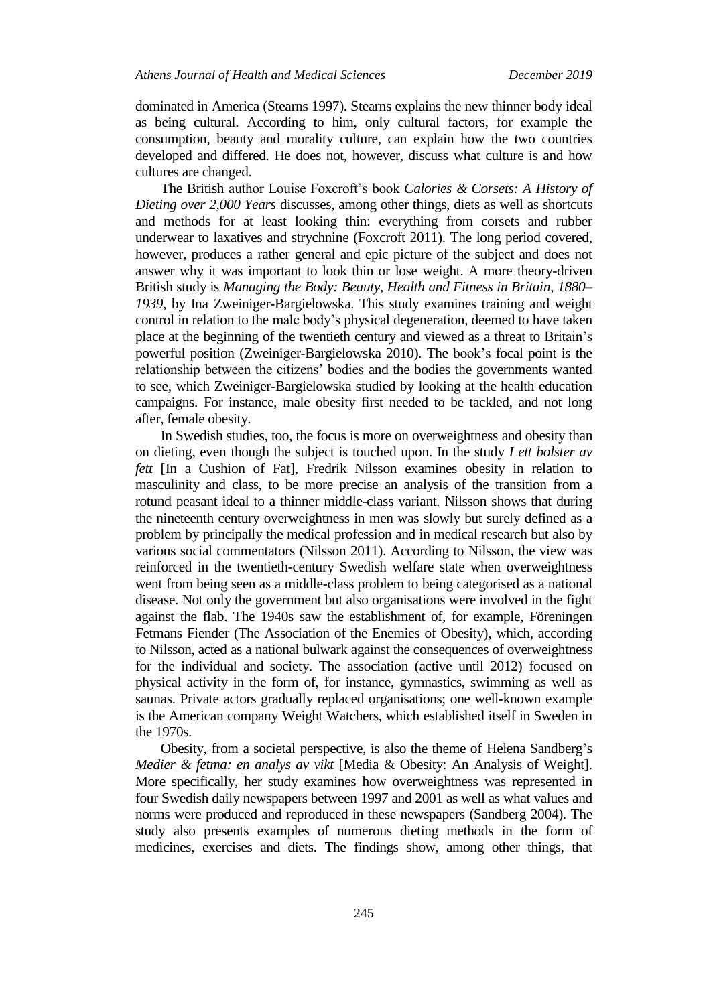dominated in America (Stearns 1997). Stearns explains the new thinner body ideal as being cultural. According to him, only cultural factors, for example the consumption, beauty and morality culture, can explain how the two countries developed and differed. He does not, however, discuss what culture is and how cultures are changed.

The British author Louise Foxcroft's book *Calories & Corsets: A History of Dieting over 2,000 Years* discusses, among other things, diets as well as shortcuts and methods for at least looking thin: everything from corsets and rubber underwear to laxatives and strychnine (Foxcroft 2011). The long period covered, however, produces a rather general and epic picture of the subject and does not answer why it was important to look thin or lose weight. A more theory-driven British study is *Managing the Body: Beauty, Health and Fitness in Britain, 1880– 1939*, by Ina Zweiniger-Bargielowska. This study examines training and weight control in relation to the male body's physical degeneration, deemed to have taken place at the beginning of the twentieth century and viewed as a threat to Britain's powerful position (Zweiniger-Bargielowska 2010). The book's focal point is the relationship between the citizens' bodies and the bodies the governments wanted to see, which Zweiniger-Bargielowska studied by looking at the health education campaigns. For instance, male obesity first needed to be tackled, and not long after, female obesity.

In Swedish studies, too, the focus is more on overweightness and obesity than on dieting, even though the subject is touched upon. In the study *I ett bolster av fett* [In a Cushion of Fat], Fredrik Nilsson examines obesity in relation to masculinity and class, to be more precise an analysis of the transition from a rotund peasant ideal to a thinner middle-class variant. Nilsson shows that during the nineteenth century overweightness in men was slowly but surely defined as a problem by principally the medical profession and in medical research but also by various social commentators (Nilsson 2011). According to Nilsson, the view was reinforced in the twentieth-century Swedish welfare state when overweightness went from being seen as a middle-class problem to being categorised as a national disease. Not only the government but also organisations were involved in the fight against the flab. The 1940s saw the establishment of, for example, Föreningen Fetmans Fiender (The Association of the Enemies of Obesity), which, according to Nilsson, acted as a national bulwark against the consequences of overweightness for the individual and society. The association (active until 2012) focused on physical activity in the form of, for instance, gymnastics, swimming as well as saunas. Private actors gradually replaced organisations; one well-known example is the American company Weight Watchers, which established itself in Sweden in the 1970s.

Obesity, from a societal perspective, is also the theme of Helena Sandberg's *Medier & fetma: en analys av vikt* [Media & Obesity: An Analysis of Weight]. More specifically, her study examines how overweightness was represented in four Swedish daily newspapers between 1997 and 2001 as well as what values and norms were produced and reproduced in these newspapers (Sandberg 2004). The study also presents examples of numerous dieting methods in the form of medicines, exercises and diets. The findings show, among other things, that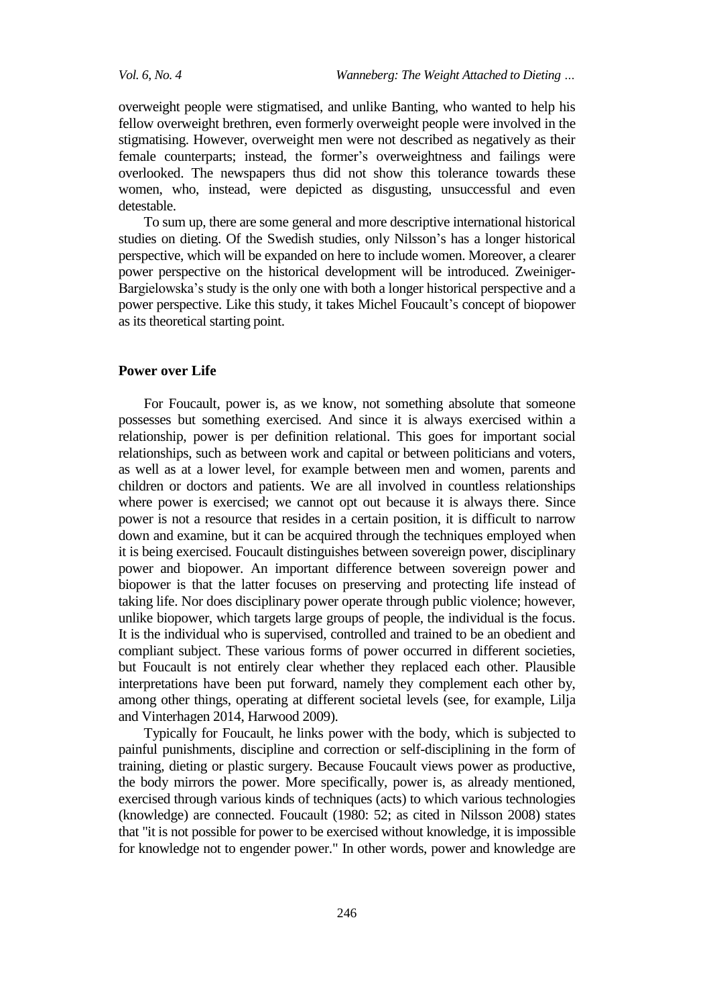overweight people were stigmatised, and unlike Banting, who wanted to help his fellow overweight brethren, even formerly overweight people were involved in the stigmatising. However, overweight men were not described as negatively as their female counterparts; instead, the former's overweightness and failings were overlooked. The newspapers thus did not show this tolerance towards these women, who, instead, were depicted as disgusting, unsuccessful and even detestable.

To sum up, there are some general and more descriptive international historical studies on dieting. Of the Swedish studies, only Nilsson's has a longer historical perspective, which will be expanded on here to include women. Moreover, a clearer power perspective on the historical development will be introduced. Zweiniger-Bargielowska's study is the only one with both a longer historical perspective and a power perspective. Like this study, it takes Michel Foucault's concept of biopower as its theoretical starting point.

#### **Power over Life**

For Foucault, power is, as we know, not something absolute that someone possesses but something exercised. And since it is always exercised within a relationship, power is per definition relational. This goes for important social relationships, such as between work and capital or between politicians and voters, as well as at a lower level, for example between men and women, parents and children or doctors and patients. We are all involved in countless relationships where power is exercised; we cannot opt out because it is always there. Since power is not a resource that resides in a certain position, it is difficult to narrow down and examine, but it can be acquired through the techniques employed when it is being exercised. Foucault distinguishes between sovereign power, disciplinary power and biopower. An important difference between sovereign power and biopower is that the latter focuses on preserving and protecting life instead of taking life. Nor does disciplinary power operate through public violence; however, unlike biopower, which targets large groups of people, the individual is the focus. It is the individual who is supervised, controlled and trained to be an obedient and compliant subject. These various forms of power occurred in different societies, but Foucault is not entirely clear whether they replaced each other. Plausible interpretations have been put forward, namely they complement each other by, among other things, operating at different societal levels (see, for example, Lilja and Vinterhagen 2014, Harwood 2009).

Typically for Foucault, he links power with the body, which is subjected to painful punishments, discipline and correction or self-disciplining in the form of training, dieting or plastic surgery. Because Foucault views power as productive, the body mirrors the power. More specifically, power is, as already mentioned, exercised through various kinds of techniques (acts) to which various technologies (knowledge) are connected. Foucault (1980: 52; as cited in Nilsson 2008) states that "it is not possible for power to be exercised without knowledge, it is impossible for knowledge not to engender power." In other words, power and knowledge are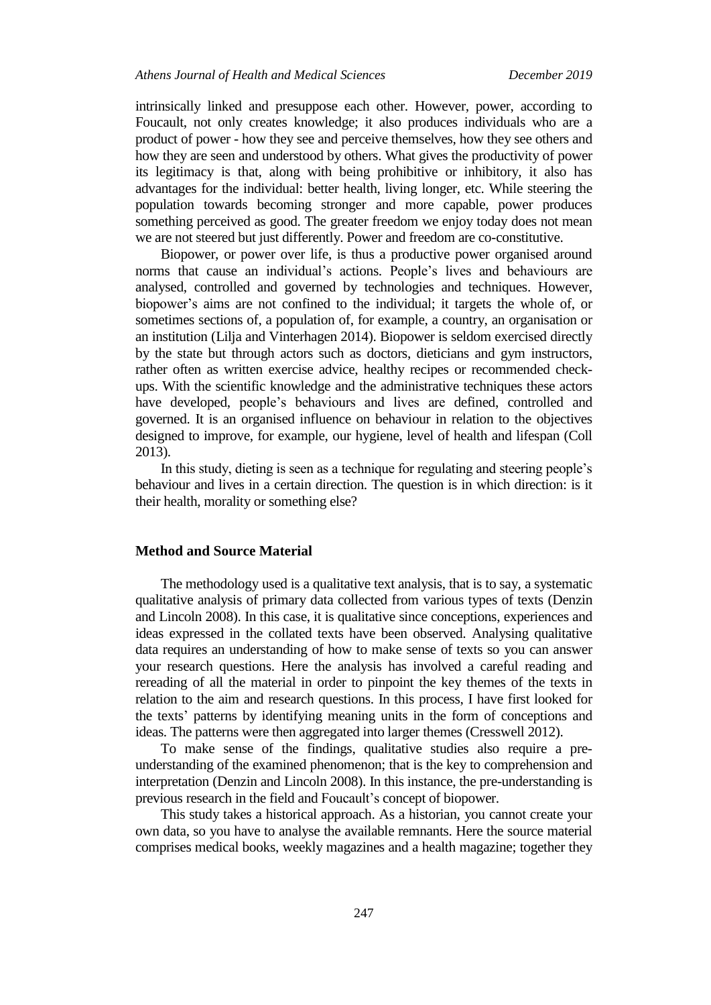intrinsically linked and presuppose each other. However, power, according to Foucault, not only creates knowledge; it also produces individuals who are a product of power - how they see and perceive themselves, how they see others and how they are seen and understood by others. What gives the productivity of power its legitimacy is that, along with being prohibitive or inhibitory, it also has advantages for the individual: better health, living longer, etc. While steering the population towards becoming stronger and more capable, power produces something perceived as good. The greater freedom we enjoy today does not mean we are not steered but just differently. Power and freedom are co-constitutive.

Biopower, or power over life, is thus a productive power organised around norms that cause an individual's actions. People's lives and behaviours are analysed, controlled and governed by technologies and techniques. However, biopower's aims are not confined to the individual; it targets the whole of, or sometimes sections of, a population of, for example, a country, an organisation or an institution (Lilja and Vinterhagen 2014). Biopower is seldom exercised directly by the state but through actors such as doctors, dieticians and gym instructors, rather often as written exercise advice, healthy recipes or recommended checkups. With the scientific knowledge and the administrative techniques these actors have developed, people's behaviours and lives are defined, controlled and governed. It is an organised influence on behaviour in relation to the objectives designed to improve, for example, our hygiene, level of health and lifespan (Coll 2013).

In this study, dieting is seen as a technique for regulating and steering people's behaviour and lives in a certain direction. The question is in which direction: is it their health, morality or something else?

# **Method and Source Material**

The methodology used is a qualitative text analysis, that is to say, a systematic qualitative analysis of primary data collected from various types of texts (Denzin and Lincoln 2008). In this case, it is qualitative since conceptions, experiences and ideas expressed in the collated texts have been observed. Analysing qualitative data requires an understanding of how to make sense of texts so you can answer your research questions. Here the analysis has involved a careful reading and rereading of all the material in order to pinpoint the key themes of the texts in relation to the aim and research questions. In this process, I have first looked for the texts' patterns by identifying meaning units in the form of conceptions and ideas. The patterns were then aggregated into larger themes (Cresswell 2012).

To make sense of the findings, qualitative studies also require a preunderstanding of the examined phenomenon; that is the key to comprehension and interpretation (Denzin and Lincoln 2008). In this instance, the pre-understanding is previous research in the field and Foucault's concept of biopower.

This study takes a historical approach. As a historian, you cannot create your own data, so you have to analyse the available remnants. Here the source material comprises medical books, weekly magazines and a health magazine; together they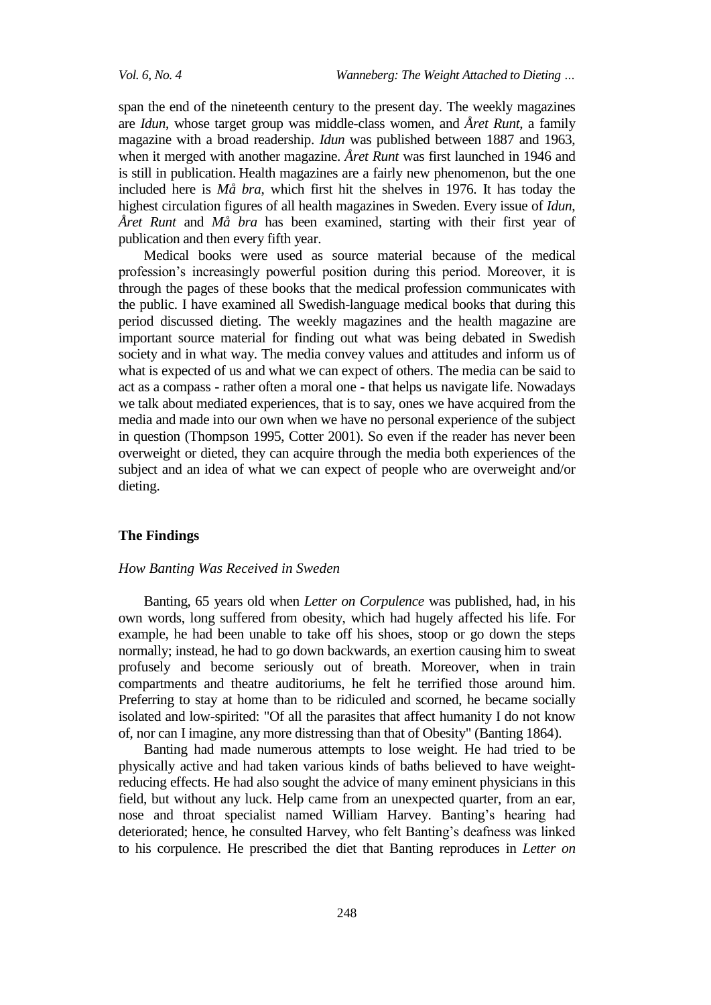span the end of the nineteenth century to the present day. The weekly magazines are *Idun*, whose target group was middle-class women, and *Året Runt*, a family magazine with a broad readership. *Idun* was published between 1887 and 1963, when it merged with another magazine. *Året Runt* was first launched in 1946 and is still in publication. Health magazines are a fairly new phenomenon, but the one included here is *Må bra*, which first hit the shelves in 1976. It has today the highest circulation figures of all health magazines in Sweden. Every issue of *Idun*, *Året Runt* and *Må bra* has been examined, starting with their first year of publication and then every fifth year.

Medical books were used as source material because of the medical profession's increasingly powerful position during this period. Moreover, it is through the pages of these books that the medical profession communicates with the public. I have examined all Swedish-language medical books that during this period discussed dieting. The weekly magazines and the health magazine are important source material for finding out what was being debated in Swedish society and in what way. The media convey values and attitudes and inform us of what is expected of us and what we can expect of others. The media can be said to act as a compass - rather often a moral one - that helps us navigate life. Nowadays we talk about mediated experiences, that is to say, ones we have acquired from the media and made into our own when we have no personal experience of the subject in question (Thompson 1995, Cotter 2001). So even if the reader has never been overweight or dieted, they can acquire through the media both experiences of the subject and an idea of what we can expect of people who are overweight and/or dieting.

# **The Findings**

### *How Banting Was Received in Sweden*

Banting, 65 years old when *Letter on Corpulence* was published, had, in his own words, long suffered from obesity, which had hugely affected his life. For example, he had been unable to take off his shoes, stoop or go down the steps normally; instead, he had to go down backwards, an exertion causing him to sweat profusely and become seriously out of breath. Moreover, when in train compartments and theatre auditoriums, he felt he terrified those around him. Preferring to stay at home than to be ridiculed and scorned, he became socially isolated and low-spirited: "Of all the parasites that affect humanity I do not know of, nor can I imagine, any more distressing than that of Obesity" (Banting 1864).

Banting had made numerous attempts to lose weight. He had tried to be physically active and had taken various kinds of baths believed to have weightreducing effects. He had also sought the advice of many eminent physicians in this field, but without any luck. Help came from an unexpected quarter, from an ear, nose and throat specialist named William Harvey. Banting's hearing had deteriorated; hence, he consulted Harvey, who felt Banting's deafness was linked to his corpulence. He prescribed the diet that Banting reproduces in *Letter on*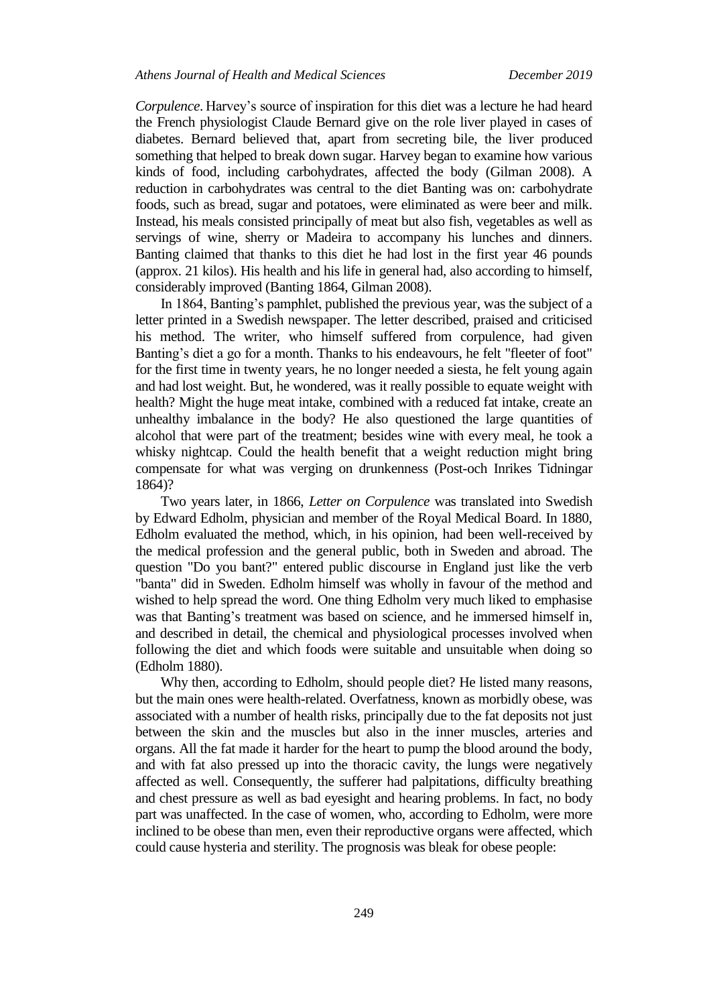*Corpulence*. Harvey's source of inspiration for this diet was a lecture he had heard the French physiologist Claude Bernard give on the role liver played in cases of diabetes. Bernard believed that, apart from secreting bile, the liver produced something that helped to break down sugar. Harvey began to examine how various kinds of food, including carbohydrates, affected the body (Gilman 2008). A reduction in carbohydrates was central to the diet Banting was on: carbohydrate foods, such as bread, sugar and potatoes, were eliminated as were beer and milk. Instead, his meals consisted principally of meat but also fish, vegetables as well as servings of wine, sherry or Madeira to accompany his lunches and dinners. Banting claimed that thanks to this diet he had lost in the first year 46 pounds (approx. 21 kilos). His health and his life in general had, also according to himself, considerably improved (Banting 1864, Gilman 2008).

In 1864, Banting's pamphlet, published the previous year, was the subject of a letter printed in a Swedish newspaper. The letter described, praised and criticised his method. The writer, who himself suffered from corpulence, had given Banting's diet a go for a month. Thanks to his endeavours, he felt "fleeter of foot" for the first time in twenty years, he no longer needed a siesta, he felt young again and had lost weight. But, he wondered, was it really possible to equate weight with health? Might the huge meat intake, combined with a reduced fat intake, create an unhealthy imbalance in the body? He also questioned the large quantities of alcohol that were part of the treatment; besides wine with every meal, he took a whisky nightcap. Could the health benefit that a weight reduction might bring compensate for what was verging on drunkenness (Post-och Inrikes Tidningar 1864)?

Two years later, in 1866, *Letter on Corpulence* was translated into Swedish by Edward Edholm, physician and member of the Royal Medical Board. In 1880, Edholm evaluated the method, which, in his opinion, had been well-received by the medical profession and the general public, both in Sweden and abroad. The question "Do you bant?" entered public discourse in England just like the verb "banta" did in Sweden. Edholm himself was wholly in favour of the method and wished to help spread the word. One thing Edholm very much liked to emphasise was that Banting's treatment was based on science, and he immersed himself in, and described in detail, the chemical and physiological processes involved when following the diet and which foods were suitable and unsuitable when doing so (Edholm 1880).

Why then, according to Edholm, should people diet? He listed many reasons, but the main ones were health-related. Overfatness, known as morbidly obese, was associated with a number of health risks, principally due to the fat deposits not just between the skin and the muscles but also in the inner muscles, arteries and organs. All the fat made it harder for the heart to pump the blood around the body, and with fat also pressed up into the thoracic cavity, the lungs were negatively affected as well. Consequently, the sufferer had palpitations, difficulty breathing and chest pressure as well as bad eyesight and hearing problems. In fact, no body part was unaffected. In the case of women, who, according to Edholm, were more inclined to be obese than men, even their reproductive organs were affected, which could cause hysteria and sterility. The prognosis was bleak for obese people: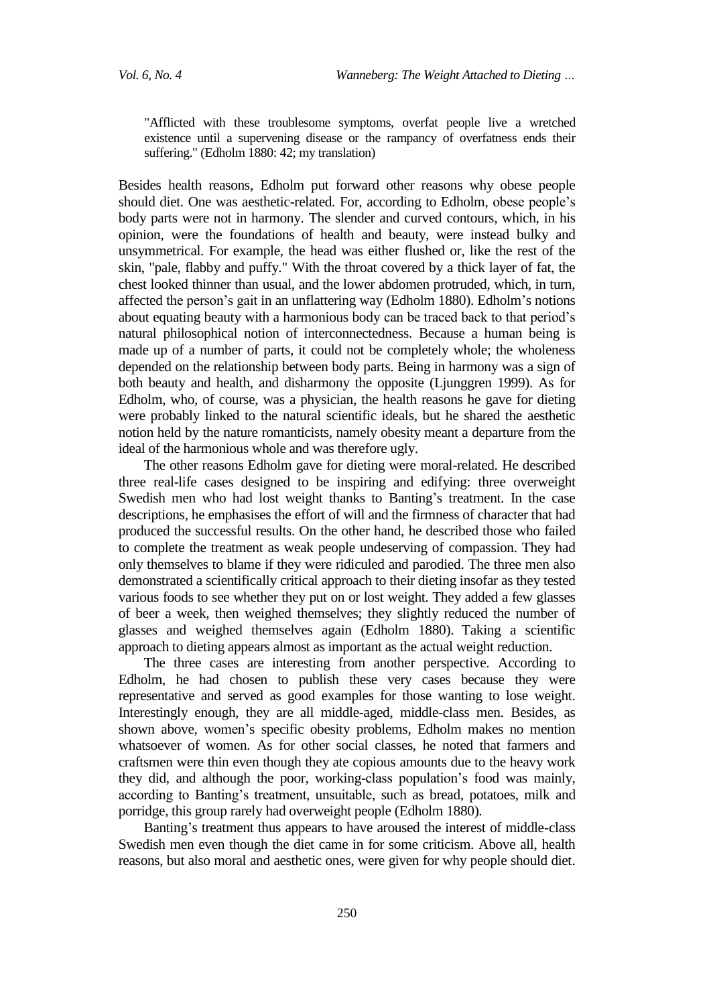"Afflicted with these troublesome symptoms, overfat people live a wretched existence until a supervening disease or the rampancy of overfatness ends their suffering." (Edholm 1880: 42; my translation)

Besides health reasons, Edholm put forward other reasons why obese people should diet. One was aesthetic-related. For, according to Edholm, obese people's body parts were not in harmony. The slender and curved contours, which, in his opinion, were the foundations of health and beauty, were instead bulky and unsymmetrical. For example, the head was either flushed or, like the rest of the skin, "pale, flabby and puffy." With the throat covered by a thick layer of fat, the chest looked thinner than usual, and the lower abdomen protruded, which, in turn, affected the person's gait in an unflattering way (Edholm 1880). Edholm's notions about equating beauty with a harmonious body can be traced back to that period's natural philosophical notion of interconnectedness. Because a human being is made up of a number of parts, it could not be completely whole; the wholeness depended on the relationship between body parts. Being in harmony was a sign of both beauty and health, and disharmony the opposite (Ljunggren 1999). As for Edholm, who, of course, was a physician, the health reasons he gave for dieting were probably linked to the natural scientific ideals, but he shared the aesthetic notion held by the nature romanticists, namely obesity meant a departure from the ideal of the harmonious whole and was therefore ugly.

The other reasons Edholm gave for dieting were moral-related. He described three real-life cases designed to be inspiring and edifying: three overweight Swedish men who had lost weight thanks to Banting's treatment. In the case descriptions, he emphasises the effort of will and the firmness of character that had produced the successful results. On the other hand, he described those who failed to complete the treatment as weak people undeserving of compassion. They had only themselves to blame if they were ridiculed and parodied. The three men also demonstrated a scientifically critical approach to their dieting insofar as they tested various foods to see whether they put on or lost weight. They added a few glasses of beer a week, then weighed themselves; they slightly reduced the number of glasses and weighed themselves again (Edholm 1880). Taking a scientific approach to dieting appears almost as important as the actual weight reduction.

The three cases are interesting from another perspective. According to Edholm, he had chosen to publish these very cases because they were representative and served as good examples for those wanting to lose weight. Interestingly enough, they are all middle-aged, middle-class men. Besides, as shown above, women's specific obesity problems, Edholm makes no mention whatsoever of women. As for other social classes, he noted that farmers and craftsmen were thin even though they ate copious amounts due to the heavy work they did, and although the poor, working-class population's food was mainly, according to Banting's treatment, unsuitable, such as bread, potatoes, milk and porridge, this group rarely had overweight people (Edholm 1880).

Banting's treatment thus appears to have aroused the interest of middle-class Swedish men even though the diet came in for some criticism. Above all, health reasons, but also moral and aesthetic ones, were given for why people should diet.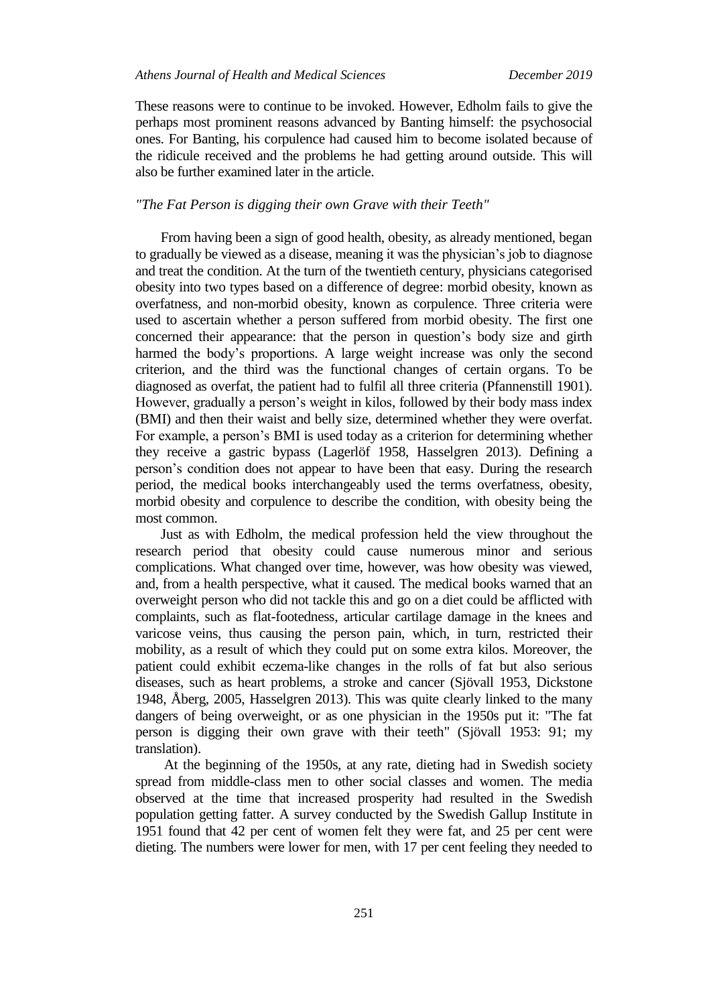These reasons were to continue to be invoked. However, Edholm fails to give the perhaps most prominent reasons advanced by Banting himself: the psychosocial ones. For Banting, his corpulence had caused him to become isolated because of the ridicule received and the problems he had getting around outside. This will also be further examined later in the article.

# *"The Fat Person is digging their own Grave with their Teeth"*

From having been a sign of good health, obesity, as already mentioned, began to gradually be viewed as a disease, meaning it was the physician's job to diagnose and treat the condition. At the turn of the twentieth century, physicians categorised obesity into two types based on a difference of degree: morbid obesity, known as overfatness, and non-morbid obesity, known as corpulence. Three criteria were used to ascertain whether a person suffered from morbid obesity. The first one concerned their appearance: that the person in question's body size and girth harmed the body's proportions. A large weight increase was only the second criterion, and the third was the functional changes of certain organs. To be diagnosed as overfat, the patient had to fulfil all three criteria (Pfannenstill 1901). However, gradually a person's weight in kilos, followed by their body mass index (BMI) and then their waist and belly size, determined whether they were overfat. For example, a person's BMI is used today as a criterion for determining whether they receive a gastric bypass (Lagerlöf 1958, Hasselgren 2013). Defining a person's condition does not appear to have been that easy. During the research period, the medical books interchangeably used the terms overfatness, obesity, morbid obesity and corpulence to describe the condition, with obesity being the most common.

Just as with Edholm, the medical profession held the view throughout the research period that obesity could cause numerous minor and serious complications. What changed over time, however, was how obesity was viewed, and, from a health perspective, what it caused. The medical books warned that an overweight person who did not tackle this and go on a diet could be afflicted with complaints, such as flat-footedness, articular cartilage damage in the knees and varicose veins, thus causing the person pain, which, in turn, restricted their mobility, as a result of which they could put on some extra kilos. Moreover, the patient could exhibit eczema-like changes in the rolls of fat but also serious diseases, such as heart problems, a stroke and cancer (Sjövall 1953, Dickstone 1948, Åberg, 2005, Hasselgren 2013). This was quite clearly linked to the many dangers of being overweight, or as one physician in the 1950s put it: "The fat person is digging their own grave with their teeth" (Sjövall 1953: 91; my translation).

At the beginning of the 1950s, at any rate, dieting had in Swedish society spread from middle-class men to other social classes and women. The media observed at the time that increased prosperity had resulted in the Swedish population getting fatter. A survey conducted by the Swedish Gallup Institute in 1951 found that 42 per cent of women felt they were fat, and 25 per cent were dieting. The numbers were lower for men, with 17 per cent feeling they needed to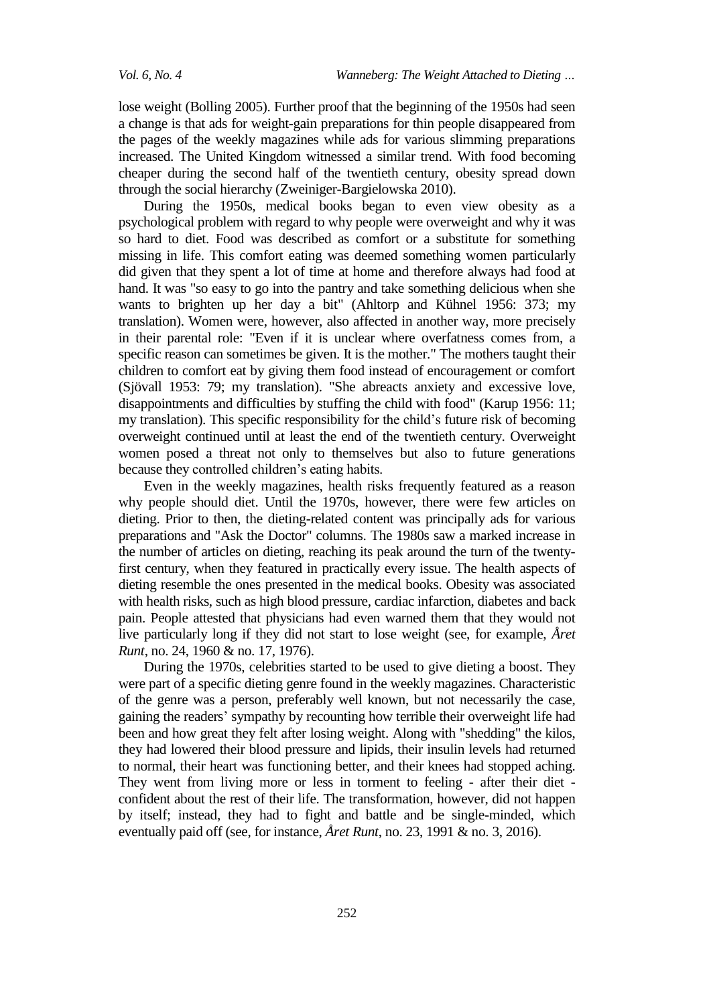lose weight (Bolling 2005). Further proof that the beginning of the 1950s had seen a change is that ads for weight-gain preparations for thin people disappeared from the pages of the weekly magazines while ads for various slimming preparations increased. The United Kingdom witnessed a similar trend. With food becoming cheaper during the second half of the twentieth century, obesity spread down through the social hierarchy (Zweiniger-Bargielowska 2010).

During the 1950s, medical books began to even view obesity as a psychological problem with regard to why people were overweight and why it was so hard to diet. Food was described as comfort or a substitute for something missing in life. This comfort eating was deemed something women particularly did given that they spent a lot of time at home and therefore always had food at hand. It was "so easy to go into the pantry and take something delicious when she wants to brighten up her day a bit" (Ahltorp and Kühnel 1956: 373; my translation). Women were, however, also affected in another way, more precisely in their parental role: "Even if it is unclear where overfatness comes from, a specific reason can sometimes be given. It is the mother." The mothers taught their children to comfort eat by giving them food instead of encouragement or comfort (Sjövall 1953: 79; my translation). "She abreacts anxiety and excessive love, disappointments and difficulties by stuffing the child with food" (Karup 1956: 11; my translation). This specific responsibility for the child's future risk of becoming overweight continued until at least the end of the twentieth century. Overweight women posed a threat not only to themselves but also to future generations because they controlled children's eating habits.

Even in the weekly magazines, health risks frequently featured as a reason why people should diet. Until the 1970s, however, there were few articles on dieting. Prior to then, the dieting-related content was principally ads for various preparations and "Ask the Doctor" columns. The 1980s saw a marked increase in the number of articles on dieting, reaching its peak around the turn of the twentyfirst century, when they featured in practically every issue. The health aspects of dieting resemble the ones presented in the medical books. Obesity was associated with health risks, such as high blood pressure, cardiac infarction, diabetes and back pain. People attested that physicians had even warned them that they would not live particularly long if they did not start to lose weight (see, for example, *Året Runt*, no. 24, 1960 & no. 17, 1976).

During the 1970s, celebrities started to be used to give dieting a boost. They were part of a specific dieting genre found in the weekly magazines. Characteristic of the genre was a person, preferably well known, but not necessarily the case, gaining the readers' sympathy by recounting how terrible their overweight life had been and how great they felt after losing weight. Along with "shedding" the kilos, they had lowered their blood pressure and lipids, their insulin levels had returned to normal, their heart was functioning better, and their knees had stopped aching. They went from living more or less in torment to feeling - after their diet confident about the rest of their life. The transformation, however, did not happen by itself; instead, they had to fight and battle and be single-minded, which eventually paid off (see, for instance, *Året Runt*, no. 23, 1991 & no. 3, 2016).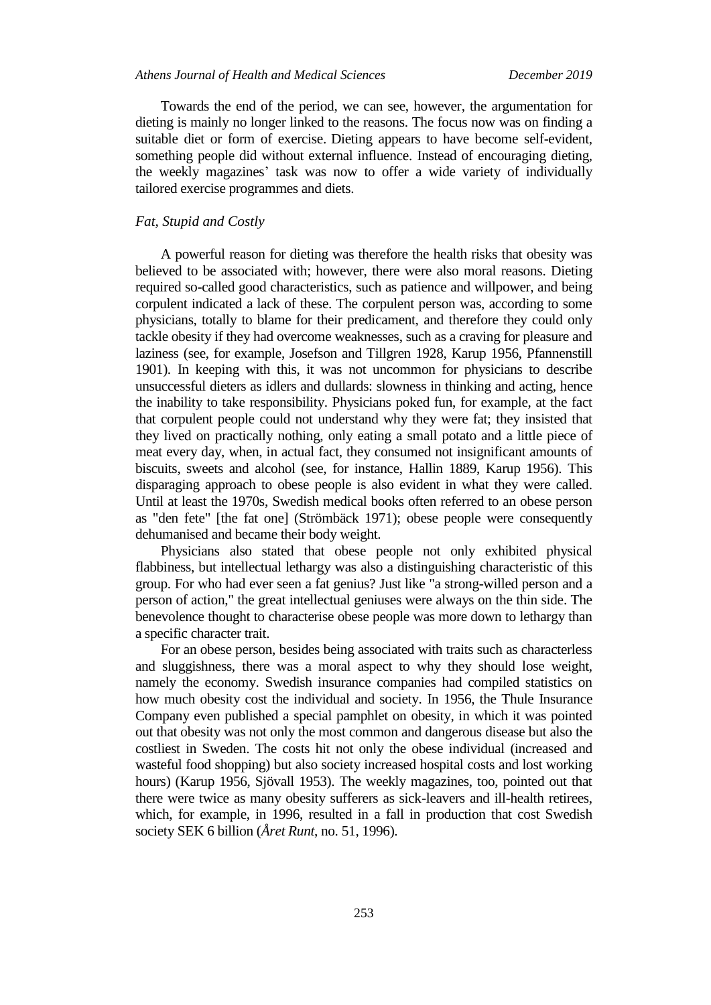Towards the end of the period, we can see, however, the argumentation for dieting is mainly no longer linked to the reasons. The focus now was on finding a suitable diet or form of exercise. Dieting appears to have become self-evident, something people did without external influence. Instead of encouraging dieting, the weekly magazines' task was now to offer a wide variety of individually tailored exercise programmes and diets.

#### *Fat, Stupid and Costly*

A powerful reason for dieting was therefore the health risks that obesity was believed to be associated with; however, there were also moral reasons. Dieting required so-called good characteristics, such as patience and willpower, and being corpulent indicated a lack of these. The corpulent person was, according to some physicians, totally to blame for their predicament, and therefore they could only tackle obesity if they had overcome weaknesses, such as a craving for pleasure and laziness (see, for example, Josefson and Tillgren 1928, Karup 1956, Pfannenstill 1901). In keeping with this, it was not uncommon for physicians to describe unsuccessful dieters as idlers and dullards: slowness in thinking and acting, hence the inability to take responsibility. Physicians poked fun, for example, at the fact that corpulent people could not understand why they were fat; they insisted that they lived on practically nothing, only eating a small potato and a little piece of meat every day, when, in actual fact, they consumed not insignificant amounts of biscuits, sweets and alcohol (see, for instance, Hallin 1889, Karup 1956). This disparaging approach to obese people is also evident in what they were called. Until at least the 1970s, Swedish medical books often referred to an obese person as "den fete" [the fat one] (Strömbäck 1971); obese people were consequently dehumanised and became their body weight.

Physicians also stated that obese people not only exhibited physical flabbiness, but intellectual lethargy was also a distinguishing characteristic of this group. For who had ever seen a fat genius? Just like "a strong-willed person and a person of action," the great intellectual geniuses were always on the thin side. The benevolence thought to characterise obese people was more down to lethargy than a specific character trait.

For an obese person, besides being associated with traits such as characterless and sluggishness, there was a moral aspect to why they should lose weight, namely the economy. Swedish insurance companies had compiled statistics on how much obesity cost the individual and society. In 1956, the Thule Insurance Company even published a special pamphlet on obesity, in which it was pointed out that obesity was not only the most common and dangerous disease but also the costliest in Sweden. The costs hit not only the obese individual (increased and wasteful food shopping) but also society increased hospital costs and lost working hours) (Karup 1956, Sjövall 1953). The weekly magazines, too, pointed out that there were twice as many obesity sufferers as sick-leavers and ill-health retirees, which, for example, in 1996, resulted in a fall in production that cost Swedish society SEK 6 billion (*Året Runt*, no. 51, 1996).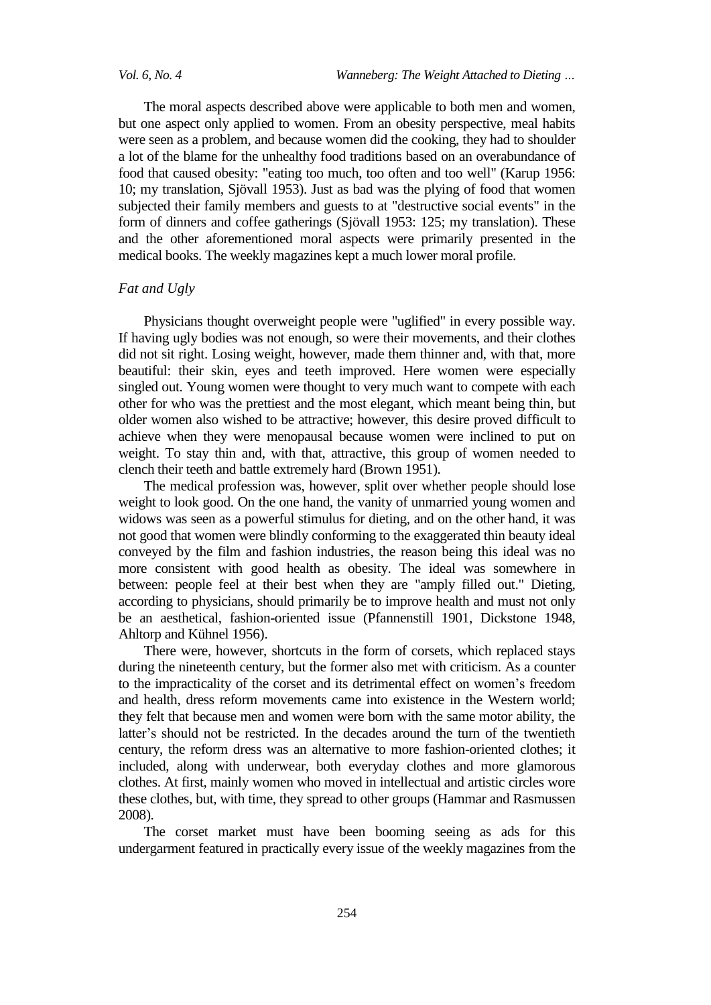The moral aspects described above were applicable to both men and women, but one aspect only applied to women. From an obesity perspective, meal habits were seen as a problem, and because women did the cooking, they had to shoulder a lot of the blame for the unhealthy food traditions based on an overabundance of food that caused obesity: "eating too much, too often and too well" (Karup 1956: 10; my translation, Sjövall 1953). Just as bad was the plying of food that women subjected their family members and guests to at "destructive social events" in the form of dinners and coffee gatherings (Sjövall 1953: 125; my translation). These and the other aforementioned moral aspects were primarily presented in the medical books. The weekly magazines kept a much lower moral profile.

# *Fat and Ugly*

Physicians thought overweight people were "uglified" in every possible way. If having ugly bodies was not enough, so were their movements, and their clothes did not sit right. Losing weight, however, made them thinner and, with that, more beautiful: their skin, eyes and teeth improved. Here women were especially singled out. Young women were thought to very much want to compete with each other for who was the prettiest and the most elegant, which meant being thin, but older women also wished to be attractive; however, this desire proved difficult to achieve when they were menopausal because women were inclined to put on weight. To stay thin and, with that, attractive, this group of women needed to clench their teeth and battle extremely hard (Brown 1951).

The medical profession was, however, split over whether people should lose weight to look good. On the one hand, the vanity of unmarried young women and widows was seen as a powerful stimulus for dieting, and on the other hand, it was not good that women were blindly conforming to the exaggerated thin beauty ideal conveyed by the film and fashion industries, the reason being this ideal was no more consistent with good health as obesity. The ideal was somewhere in between: people feel at their best when they are "amply filled out." Dieting, according to physicians, should primarily be to improve health and must not only be an aesthetical, fashion-oriented issue (Pfannenstill 1901, Dickstone 1948, Ahltorp and Kühnel 1956).

There were, however, shortcuts in the form of corsets, which replaced stays during the nineteenth century, but the former also met with criticism. As a counter to the impracticality of the corset and its detrimental effect on women's freedom and health, dress reform movements came into existence in the Western world; they felt that because men and women were born with the same motor ability, the latter's should not be restricted. In the decades around the turn of the twentieth century, the reform dress was an alternative to more fashion-oriented clothes; it included, along with underwear, both everyday clothes and more glamorous clothes. At first, mainly women who moved in intellectual and artistic circles wore these clothes, but, with time, they spread to other groups (Hammar and Rasmussen 2008).

The corset market must have been booming seeing as ads for this undergarment featured in practically every issue of the weekly magazines from the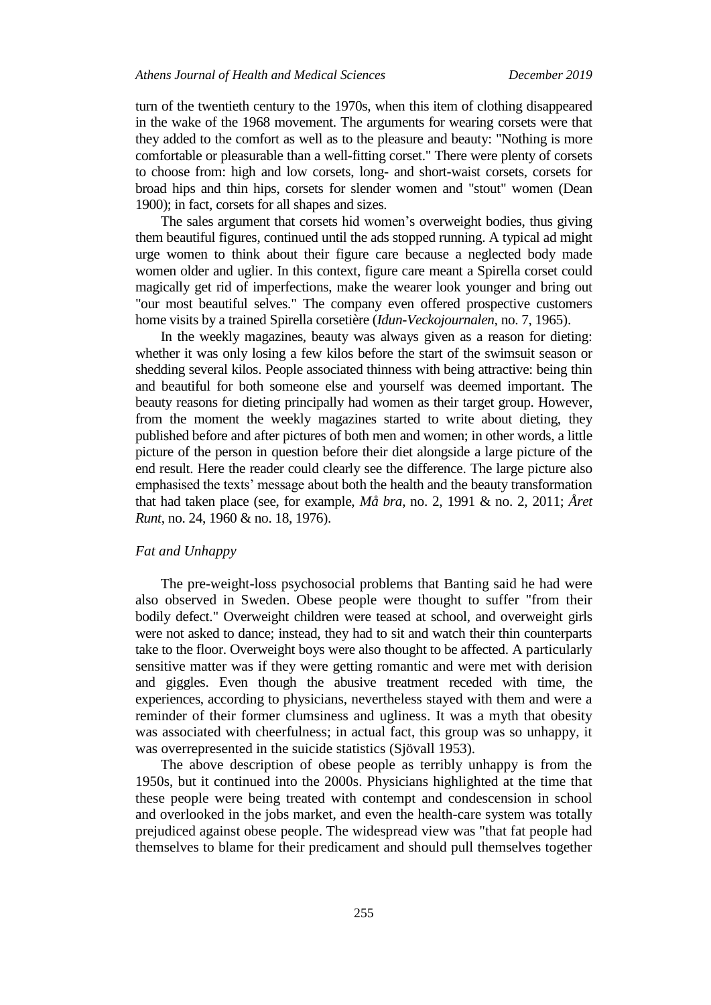turn of the twentieth century to the 1970s, when this item of clothing disappeared in the wake of the 1968 movement. The arguments for wearing corsets were that they added to the comfort as well as to the pleasure and beauty: "Nothing is more comfortable or pleasurable than a well-fitting corset." There were plenty of corsets to choose from: high and low corsets, long- and short-waist corsets, corsets for broad hips and thin hips, corsets for slender women and "stout" women (Dean 1900); in fact, corsets for all shapes and sizes.

The sales argument that corsets hid women's overweight bodies, thus giving them beautiful figures, continued until the ads stopped running. A typical ad might urge women to think about their figure care because a neglected body made women older and uglier. In this context, figure care meant a Spirella corset could magically get rid of imperfections, make the wearer look younger and bring out "our most beautiful selves." The company even offered prospective customers home visits by a trained Spirella corsetière (*Idun-Veckojournalen*, no. 7, 1965).

In the weekly magazines, beauty was always given as a reason for dieting: whether it was only losing a few kilos before the start of the swimsuit season or shedding several kilos. People associated thinness with being attractive: being thin and beautiful for both someone else and yourself was deemed important. The beauty reasons for dieting principally had women as their target group. However, from the moment the weekly magazines started to write about dieting, they published before and after pictures of both men and women; in other words, a little picture of the person in question before their diet alongside a large picture of the end result. Here the reader could clearly see the difference. The large picture also emphasised the texts' message about both the health and the beauty transformation that had taken place (see, for example, *Må bra*, no. 2, 1991 & no. 2, 2011; *Året Runt*, no. 24, 1960 & no. 18, 1976).

#### *Fat and Unhappy*

The pre-weight-loss psychosocial problems that Banting said he had were also observed in Sweden. Obese people were thought to suffer "from their bodily defect." Overweight children were teased at school, and overweight girls were not asked to dance; instead, they had to sit and watch their thin counterparts take to the floor. Overweight boys were also thought to be affected. A particularly sensitive matter was if they were getting romantic and were met with derision and giggles. Even though the abusive treatment receded with time, the experiences, according to physicians, nevertheless stayed with them and were a reminder of their former clumsiness and ugliness. It was a myth that obesity was associated with cheerfulness; in actual fact, this group was so unhappy, it was overrepresented in the suicide statistics (Sjövall 1953).

The above description of obese people as terribly unhappy is from the 1950s, but it continued into the 2000s. Physicians highlighted at the time that these people were being treated with contempt and condescension in school and overlooked in the jobs market, and even the health-care system was totally prejudiced against obese people. The widespread view was "that fat people had themselves to blame for their predicament and should pull themselves together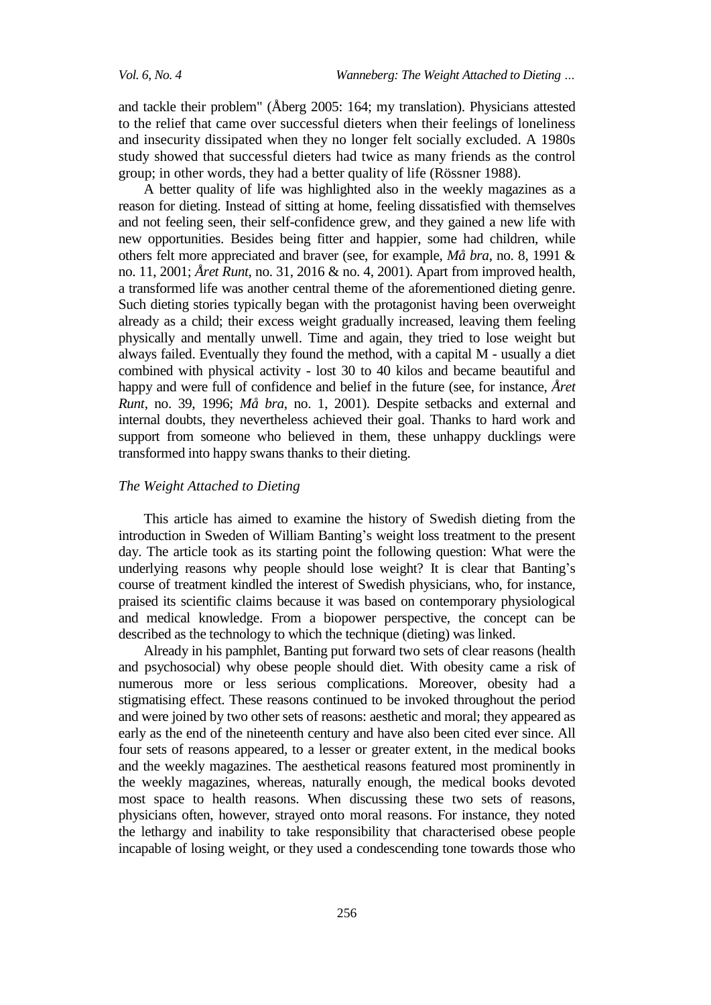and tackle their problem" (Åberg 2005: 164; my translation). Physicians attested to the relief that came over successful dieters when their feelings of loneliness and insecurity dissipated when they no longer felt socially excluded. A 1980s study showed that successful dieters had twice as many friends as the control group; in other words, they had a better quality of life (Rössner 1988).

A better quality of life was highlighted also in the weekly magazines as a reason for dieting. Instead of sitting at home, feeling dissatisfied with themselves and not feeling seen, their self-confidence grew, and they gained a new life with new opportunities. Besides being fitter and happier, some had children, while others felt more appreciated and braver (see, for example, *Må bra*, no. 8, 1991 & no. 11, 2001; *Året Runt*, no. 31, 2016 & no. 4, 2001). Apart from improved health, a transformed life was another central theme of the aforementioned dieting genre. Such dieting stories typically began with the protagonist having been overweight already as a child; their excess weight gradually increased, leaving them feeling physically and mentally unwell. Time and again, they tried to lose weight but always failed. Eventually they found the method, with a capital M - usually a diet combined with physical activity - lost 30 to 40 kilos and became beautiful and happy and were full of confidence and belief in the future (see, for instance, *Året Runt*, no. 39, 1996; *Må bra*, no. 1, 2001). Despite setbacks and external and internal doubts, they nevertheless achieved their goal. Thanks to hard work and support from someone who believed in them, these unhappy ducklings were transformed into happy swans thanks to their dieting.

### *The Weight Attached to Dieting*

This article has aimed to examine the history of Swedish dieting from the introduction in Sweden of William Banting's weight loss treatment to the present day. The article took as its starting point the following question: What were the underlying reasons why people should lose weight? It is clear that Banting's course of treatment kindled the interest of Swedish physicians, who, for instance, praised its scientific claims because it was based on contemporary physiological and medical knowledge. From a biopower perspective, the concept can be described as the technology to which the technique (dieting) was linked.

Already in his pamphlet, Banting put forward two sets of clear reasons (health and psychosocial) why obese people should diet. With obesity came a risk of numerous more or less serious complications. Moreover, obesity had a stigmatising effect. These reasons continued to be invoked throughout the period and were joined by two other sets of reasons: aesthetic and moral; they appeared as early as the end of the nineteenth century and have also been cited ever since. All four sets of reasons appeared, to a lesser or greater extent, in the medical books and the weekly magazines. The aesthetical reasons featured most prominently in the weekly magazines, whereas, naturally enough, the medical books devoted most space to health reasons. When discussing these two sets of reasons, physicians often, however, strayed onto moral reasons. For instance, they noted the lethargy and inability to take responsibility that characterised obese people incapable of losing weight, or they used a condescending tone towards those who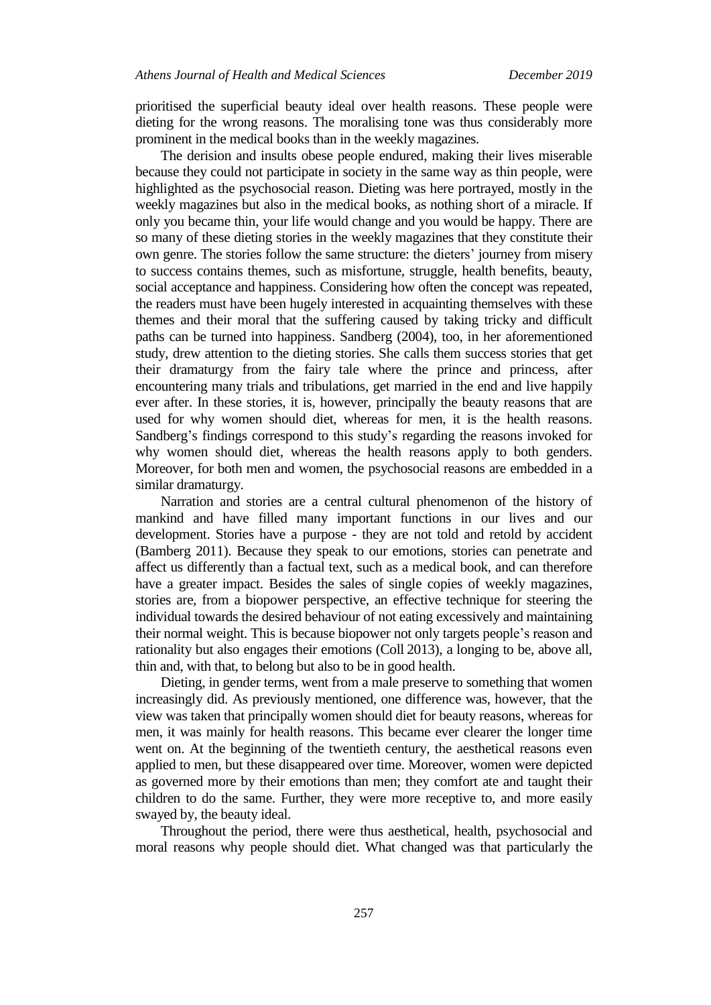prioritised the superficial beauty ideal over health reasons. These people were dieting for the wrong reasons. The moralising tone was thus considerably more prominent in the medical books than in the weekly magazines.

The derision and insults obese people endured, making their lives miserable because they could not participate in society in the same way as thin people, were highlighted as the psychosocial reason. Dieting was here portrayed, mostly in the weekly magazines but also in the medical books, as nothing short of a miracle. If only you became thin, your life would change and you would be happy. There are so many of these dieting stories in the weekly magazines that they constitute their own genre. The stories follow the same structure: the dieters' journey from misery to success contains themes, such as misfortune, struggle, health benefits, beauty, social acceptance and happiness. Considering how often the concept was repeated, the readers must have been hugely interested in acquainting themselves with these themes and their moral that the suffering caused by taking tricky and difficult paths can be turned into happiness. Sandberg (2004), too, in her aforementioned study, drew attention to the dieting stories. She calls them success stories that get their dramaturgy from the fairy tale where the prince and princess, after encountering many trials and tribulations, get married in the end and live happily ever after. In these stories, it is, however, principally the beauty reasons that are used for why women should diet, whereas for men, it is the health reasons. Sandberg's findings correspond to this study's regarding the reasons invoked for why women should diet, whereas the health reasons apply to both genders. Moreover, for both men and women, the psychosocial reasons are embedded in a similar dramaturgy.

Narration and stories are a central cultural phenomenon of the history of mankind and have filled many important functions in our lives and our development. Stories have a purpose - they are not told and retold by accident (Bamberg 2011). Because they speak to our emotions, stories can penetrate and affect us differently than a factual text, such as a medical book, and can therefore have a greater impact. Besides the sales of single copies of weekly magazines, stories are, from a biopower perspective, an effective technique for steering the individual towards the desired behaviour of not eating excessively and maintaining their normal weight. This is because biopower not only targets people's reason and rationality but also engages their emotions (Coll 2013), a longing to be, above all, thin and, with that, to belong but also to be in good health.

Dieting, in gender terms, went from a male preserve to something that women increasingly did. As previously mentioned, one difference was, however, that the view was taken that principally women should diet for beauty reasons, whereas for men, it was mainly for health reasons. This became ever clearer the longer time went on. At the beginning of the twentieth century, the aesthetical reasons even applied to men, but these disappeared over time. Moreover, women were depicted as governed more by their emotions than men; they comfort ate and taught their children to do the same. Further, they were more receptive to, and more easily swayed by, the beauty ideal.

Throughout the period, there were thus aesthetical, health, psychosocial and moral reasons why people should diet. What changed was that particularly the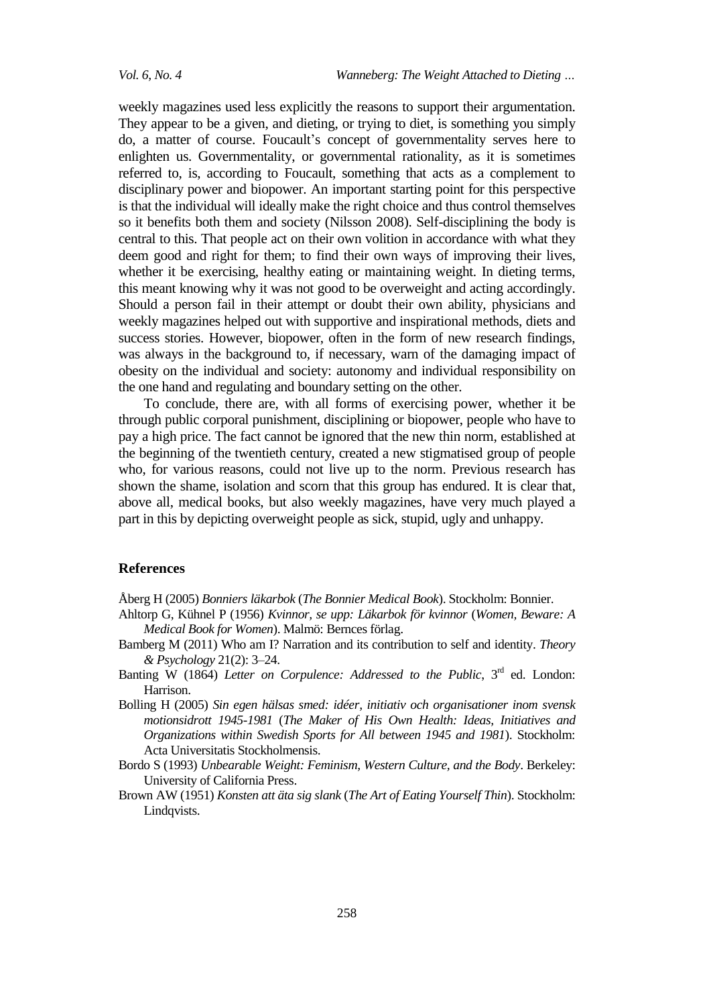weekly magazines used less explicitly the reasons to support their argumentation. They appear to be a given, and dieting, or trying to diet, is something you simply do, a matter of course. Foucault's concept of governmentality serves here to enlighten us. Governmentality, or governmental rationality, as it is sometimes referred to, is, according to Foucault, something that acts as a complement to disciplinary power and biopower. An important starting point for this perspective is that the individual will ideally make the right choice and thus control themselves so it benefits both them and society (Nilsson 2008). Self-disciplining the body is central to this. That people act on their own volition in accordance with what they deem good and right for them; to find their own ways of improving their lives, whether it be exercising, healthy eating or maintaining weight. In dieting terms, this meant knowing why it was not good to be overweight and acting accordingly. Should a person fail in their attempt or doubt their own ability, physicians and weekly magazines helped out with supportive and inspirational methods, diets and success stories. However, biopower, often in the form of new research findings, was always in the background to, if necessary, warn of the damaging impact of obesity on the individual and society: autonomy and individual responsibility on the one hand and regulating and boundary setting on the other.

To conclude, there are, with all forms of exercising power, whether it be through public corporal punishment, disciplining or biopower, people who have to pay a high price. The fact cannot be ignored that the new thin norm, established at the beginning of the twentieth century, created a new stigmatised group of people who, for various reasons, could not live up to the norm. Previous research has shown the shame, isolation and scorn that this group has endured. It is clear that, above all, medical books, but also weekly magazines, have very much played a part in this by depicting overweight people as sick, stupid, ugly and unhappy.

#### **References**

Åberg H (2005) *Bonniers läkarbok* (*The Bonnier Medical Book*). Stockholm: Bonnier.

- Ahltorp G, Kühnel P (1956) *Kvinnor, se upp: Läkarbok för kvinnor* (*Women, Beware: A Medical Book for Women*). Malmö: Bernces förlag.
- Bamberg M (2011) Who am I? Narration and its contribution to self and identity. *Theory & Psychology* 21(2): 3–24.
- Banting W (1864) Letter on Corpulence: Addressed to the Public, 3<sup>rd</sup> ed. London: Harrison.
- Bolling H (2005) *Sin egen hälsas smed: idéer, initiativ och organisationer inom svensk motionsidrott 1945-1981* (*The Maker of His Own Health: Ideas, Initiatives and Organizations within Swedish Sports for All between 1945 and 1981*). Stockholm: Acta Universitatis Stockholmensis.
- Bordo S (1993) *Unbearable Weight: Feminism, Western Culture, and the Body*. Berkeley: University of California Press.
- Brown AW (1951) *Konsten att äta sig slank* (*The Art of Eating Yourself Thin*). Stockholm: Lindqvists.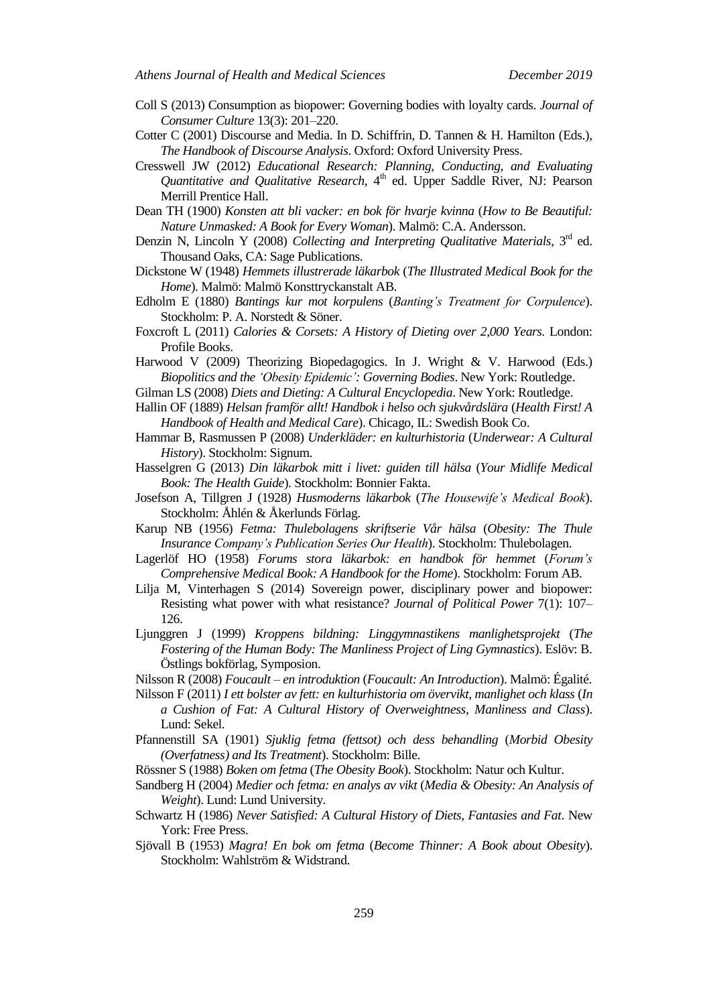- Coll S (2013) Consumption as biopower: Governing bodies with loyalty cards. *Journal of Consumer Culture* 13(3): 201–220.
- Cotter C (2001) Discourse and Media. In D. Schiffrin, D. Tannen & H. Hamilton (Eds.), *The Handbook of Discourse Analysis*. Oxford: Oxford University Press.
- Cresswell JW (2012) *Educational Research: Planning, Conducting, and Evaluating Quantitative and Qualitative Research*, 4 th ed. Upper Saddle River, NJ: Pearson Merrill Prentice Hall.
- Dean TH (1900) *Konsten att bli vacker: en bok för hvarje kvinna* (*How to Be Beautiful: Nature Unmasked: A Book for Every Woman*). Malmö: C.A. Andersson.
- Denzin N, Lincoln Y (2008) *Collecting and Interpreting Qualitative Materials*, 3<sup>rd</sup> ed. Thousand Oaks, CA: Sage Publications.
- Dickstone W (1948) *Hemmets illustrerade läkarbok* (*The Illustrated Medical Book for the Home*). Malmö: Malmö Konsttryckanstalt AB.
- Edholm E (1880) *Bantings kur mot korpulens* (*Banting's Treatment for Corpulence*). Stockholm: P. A. Norstedt & Söner.
- Foxcroft L (2011) *Calories & Corsets: A History of Dieting over 2,000 Years.* London: Profile Books.
- Harwood V (2009) Theorizing Biopedagogics. In J. Wright & V. Harwood (Eds.) *Biopolitics and the 'Obesity Epidemic': Governing Bodies*. New York: Routledge.
- Gilman LS (2008) *Diets and Dieting: A Cultural Encyclopedia*. New York: Routledge.
- Hallin OF (1889) *Helsan framför allt! Handbok i helso och sjukvårdslära* (*Health First! A Handbook of Health and Medical Care*). Chicago, IL: Swedish Book Co.
- Hammar B, Rasmussen P (2008) *Underkläder: en kulturhistoria* (*Underwear: A Cultural History*). Stockholm: Signum.
- Hasselgren G (2013) *Din läkarbok mitt i livet: guiden till hälsa* (*Your Midlife Medical Book: The Health Guide*). Stockholm: Bonnier Fakta.
- Josefson A, Tillgren J (1928) *Husmoderns läkarbok* (*The Housewife's Medical Book*). Stockholm: Åhlén & Åkerlunds Förlag.
- Karup NB (1956) *Fetma: Thulebolagens skriftserie Vår hälsa* (*Obesity: The Thule Insurance Company's Publication Series Our Health*). Stockholm: Thulebolagen.
- Lagerlöf HO (1958) *Forums stora läkarbok: en handbok för hemmet* (*Forum's Comprehensive Medical Book: A Handbook for the Home*). Stockholm: Forum AB.
- Lilja M, Vinterhagen S (2014) Sovereign power, disciplinary power and biopower: Resisting what power with what resistance? *Journal of Political Power* 7(1): 107– 126.
- Ljunggren J (1999) *Kroppens bildning: Linggymnastikens manlighetsprojekt* (*The Fostering of the Human Body: The Manliness Project of Ling Gymnastics*). Eslöv: B. Östlings bokförlag, Symposion.
- Nilsson R (2008) *Foucault – en introduktion* (*Foucault: An Introduction*). Malmö: Égalité.
- Nilsson F (2011) *I ett bolster av fett: en kulturhistoria om övervikt, manlighet och klass* (*In a Cushion of Fat: A Cultural History of Overweightness, Manliness and Class*). Lund: Sekel.
- Pfannenstill SA (1901) *Sjuklig fetma (fettsot) och dess behandling* (*Morbid Obesity (Overfatness) and Its Treatment*). Stockholm: Bille.
- Rössner S (1988) *Boken om fetma* (*The Obesity Book*). Stockholm: Natur och Kultur.
- Sandberg H (2004) *Medier och fetma: en analys av vikt* (*Media & Obesity: An Analysis of Weight*). Lund: Lund University.
- Schwartz H (1986) *Never Satisfied: A Cultural History of Diets, Fantasies and Fat*. New York: Free Press.
- Sjövall B (1953) *Magra! En bok om fetma* (*Become Thinner: A Book about Obesity*). Stockholm: Wahlström & Widstrand.